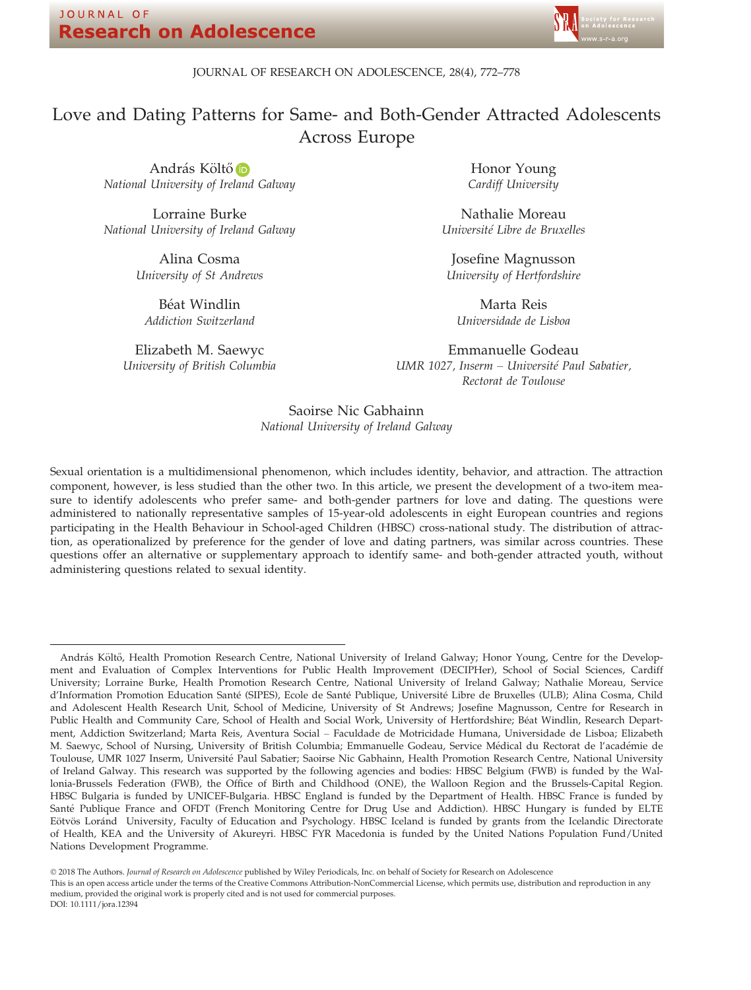

JOURNAL OF RESEARCH ON ADOLESCENCE, 28(4), 772–778

# Love and Dating Patterns for Same- and Both-Gender Attracted Adolescents Across Europe

András Költő **D** National University of Ireland Galway

Lorraine Burke National University of Ireland Galway

> Alina Cosma University of St Andrews

Béat Windlin Addiction Switzerland

Elizabeth M. Saewyc University of British Columbia

Honor Young Cardiff University

Nathalie Moreau Universite Libre de Bruxelles

Josefine Magnusson University of Hertfordshire

Marta Reis Universidade de Lisboa

Emmanuelle Godeau UMR 1027, Inserm - Université Paul Sabatier, Rectorat de Toulouse

Saoirse Nic Gabhainn National University of Ireland Galway

Sexual orientation is a multidimensional phenomenon, which includes identity, behavior, and attraction. The attraction component, however, is less studied than the other two. In this article, we present the development of a two-item measure to identify adolescents who prefer same- and both-gender partners for love and dating. The questions were administered to nationally representative samples of 15-year-old adolescents in eight European countries and regions participating in the Health Behaviour in School-aged Children (HBSC) cross-national study. The distribution of attraction, as operationalized by preference for the gender of love and dating partners, was similar across countries. These questions offer an alternative or supplementary approach to identify same- and both-gender attracted youth, without administering questions related to sexual identity.

© 2018 The Authors. Journal of Research on Adolescence published by Wiley Periodicals, Inc. on behalf of Society for Research on Adolescence

This is an open access article under the terms of the [Creative Commons Attribution-NonCommercial](http://creativecommons.org/licenses/by-nc/4.0/) License, which permits use, distribution and reproduction in any medium, provided the original work is properly cited and is not used for commercial purposes.

DOI: 10.1111/jora.12394

András Költő, Health Promotion Research Centre, National University of Ireland Galway; Honor Young, Centre for the Development and Evaluation of Complex Interventions for Public Health Improvement (DECIPHer), School of Social Sciences, Cardiff University; Lorraine Burke, Health Promotion Research Centre, National University of Ireland Galway; Nathalie Moreau, Service d'Information Promotion Education Sante (SIPES), Ecole de Sante Publique, Universite Libre de Bruxelles (ULB); Alina Cosma, Child and Adolescent Health Research Unit, School of Medicine, University of St Andrews; Josefine Magnusson, Centre for Research in Public Health and Community Care, School of Health and Social Work, University of Hertfordshire; Beat Windlin, Research Department, Addiction Switzerland; Marta Reis, Aventura Social – Faculdade de Motricidade Humana, Universidade de Lisboa; Elizabeth M. Saewyc, School of Nursing, University of British Columbia; Emmanuelle Godeau, Service Medical du Rectorat de l'academie de Toulouse, UMR 1027 Inserm, Universite Paul Sabatier; Saoirse Nic Gabhainn, Health Promotion Research Centre, National University of Ireland Galway. This research was supported by the following agencies and bodies: HBSC Belgium (FWB) is funded by the Wallonia-Brussels Federation (FWB), the Office of Birth and Childhood (ONE), the Walloon Region and the Brussels-Capital Region. HBSC Bulgaria is funded by UNICEF-Bulgaria. HBSC England is funded by the Department of Health. HBSC France is funded by Santé Publique France and OFDT (French Monitoring Centre for Drug Use and Addiction). HBSC Hungary is funded by ELTE Eötvös Loránd University, Faculty of Education and Psychology. HBSC Iceland is funded by grants from the Icelandic Directorate of Health, KEA and the University of Akureyri. HBSC FYR Macedonia is funded by the United Nations Population Fund/United Nations Development Programme.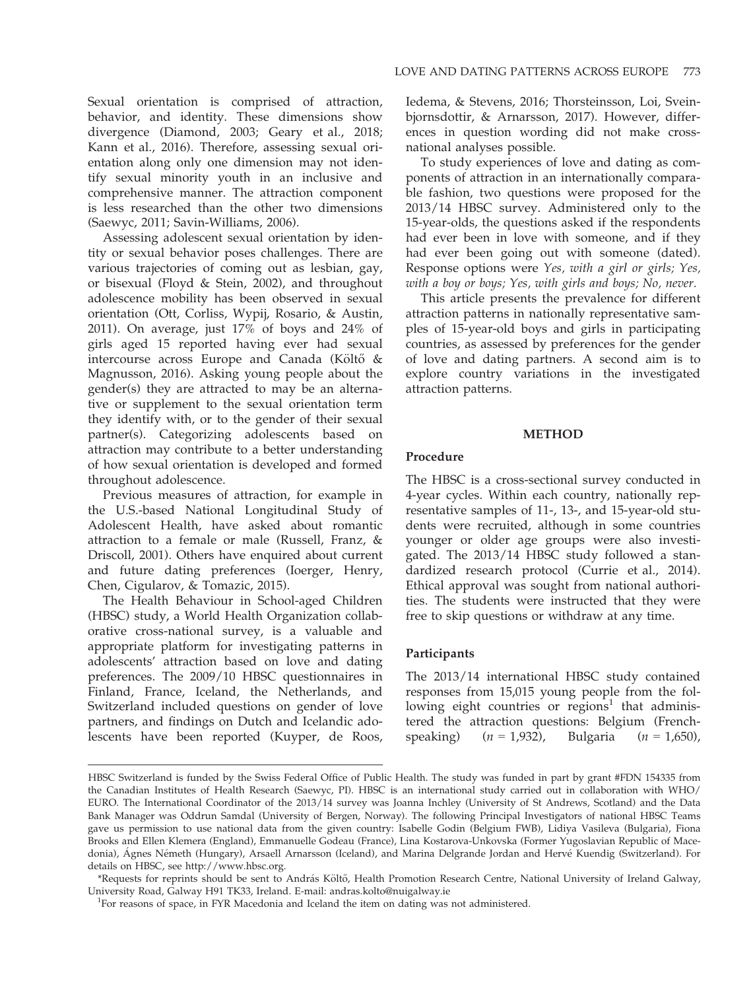Sexual orientation is comprised of attraction, behavior, and identity. These dimensions show divergence (Diamond, 2003; Geary et al., 2018; Kann et al., 2016). Therefore, assessing sexual orientation along only one dimension may not identify sexual minority youth in an inclusive and comprehensive manner. The attraction component is less researched than the other two dimensions (Saewyc, 2011; Savin-Williams, 2006).

Assessing adolescent sexual orientation by identity or sexual behavior poses challenges. There are various trajectories of coming out as lesbian, gay, or bisexual (Floyd & Stein, 2002), and throughout adolescence mobility has been observed in sexual orientation (Ott, Corliss, Wypij, Rosario, & Austin, 2011). On average, just 17% of boys and 24% of girls aged 15 reported having ever had sexual intercourse across Europe and Canada (Költő & Magnusson, 2016). Asking young people about the gender(s) they are attracted to may be an alternative or supplement to the sexual orientation term they identify with, or to the gender of their sexual partner(s). Categorizing adolescents based on attraction may contribute to a better understanding of how sexual orientation is developed and formed throughout adolescence.

Previous measures of attraction, for example in the U.S.-based National Longitudinal Study of Adolescent Health, have asked about romantic attraction to a female or male (Russell, Franz, & Driscoll, 2001). Others have enquired about current and future dating preferences (Ioerger, Henry, Chen, Cigularov, & Tomazic, 2015).

The Health Behaviour in School-aged Children (HBSC) study, a World Health Organization collaborative cross-national survey, is a valuable and appropriate platform for investigating patterns in adolescents' attraction based on love and dating preferences. The 2009/10 HBSC questionnaires in Finland, France, Iceland, the Netherlands, and Switzerland included questions on gender of love partners, and findings on Dutch and Icelandic adolescents have been reported (Kuyper, de Roos,

Iedema, & Stevens, 2016; Thorsteinsson, Loi, Sveinbjornsdottir, & Arnarsson, 2017). However, differences in question wording did not make crossnational analyses possible.

To study experiences of love and dating as components of attraction in an internationally comparable fashion, two questions were proposed for the 2013/14 HBSC survey. Administered only to the 15-year-olds, the questions asked if the respondents had ever been in love with someone, and if they had ever been going out with someone (dated). Response options were Yes, with a girl or girls; Yes, with a boy or boys; Yes, with girls and boys; No, never.

This article presents the prevalence for different attraction patterns in nationally representative samples of 15-year-old boys and girls in participating countries, as assessed by preferences for the gender of love and dating partners. A second aim is to explore country variations in the investigated attraction patterns.

#### METHOD

# Procedure

The HBSC is a cross-sectional survey conducted in 4-year cycles. Within each country, nationally representative samples of 11-, 13-, and 15-year-old students were recruited, although in some countries younger or older age groups were also investigated. The 2013/14 HBSC study followed a standardized research protocol (Currie et al., 2014). Ethical approval was sought from national authorities. The students were instructed that they were free to skip questions or withdraw at any time.

#### Participants

The 2013/14 international HBSC study contained responses from 15,015 young people from the following eight countries or regions<sup>1</sup> that administered the attraction questions: Belgium (Frenchspeaking)  $(n = 1,932)$ , Bulgaria  $(n = 1,650)$ ,

HBSC Switzerland is funded by the Swiss Federal Office of Public Health. The study was funded in part by grant #FDN 154335 from the Canadian Institutes of Health Research (Saewyc, PI). HBSC is an international study carried out in collaboration with WHO/ EURO. The International Coordinator of the 2013/14 survey was Joanna Inchley (University of St Andrews, Scotland) and the Data Bank Manager was Oddrun Samdal (University of Bergen, Norway). The following Principal Investigators of national HBSC Teams gave us permission to use national data from the given country: Isabelle Godin (Belgium FWB), Lidiya Vasileva (Bulgaria), Fiona Brooks and Ellen Klemera (England), Emmanuelle Godeau (France), Lina Kostarova-Unkovska (Former Yugoslavian Republic of Macedonia), Ágnes Németh (Hungary), Arsaell Arnarsson (Iceland), and Marina Delgrande Jordan and Hervé Kuendig (Switzerland). For details on HBSC, see<http://www.hbsc.org>.

<sup>\*</sup>Requests for reprints should be sent to András Költő, Health Promotion Research Centre, National University of Ireland Galway, University Road, Galway H91 TK33, Ireland. E-mail: andras.kolto@nuigalway.ie <sup>1</sup>

<sup>&</sup>lt;sup>1</sup>For reasons of space, in FYR Macedonia and Iceland the item on dating was not administered.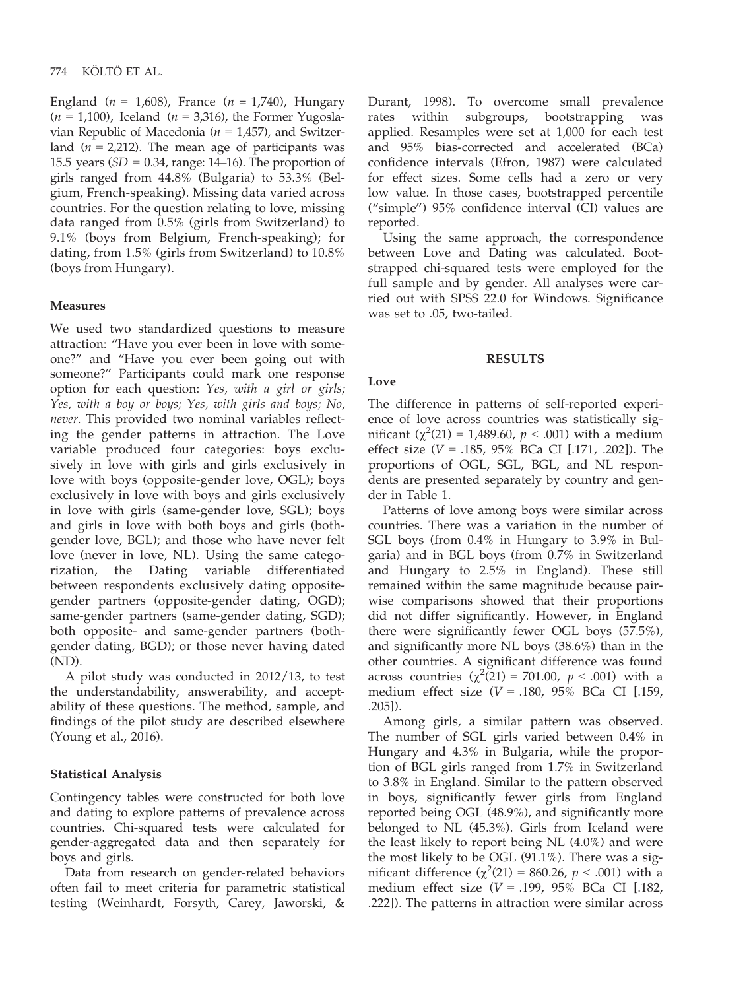England ( $n = 1,608$ ), France ( $n = 1,740$ ), Hungary  $(n = 1,100)$ , Iceland  $(n = 3,316)$ , the Former Yugoslavian Republic of Macedonia ( $n = 1,457$ ), and Switzerland ( $n = 2,212$ ). The mean age of participants was 15.5 years  $(SD = 0.34$ , range: 14–16). The proportion of girls ranged from 44.8% (Bulgaria) to 53.3% (Belgium, French-speaking). Missing data varied across countries. For the question relating to love, missing data ranged from 0.5% (girls from Switzerland) to 9.1% (boys from Belgium, French-speaking); for dating, from 1.5% (girls from Switzerland) to 10.8% (boys from Hungary).

## Measures

We used two standardized questions to measure attraction: "Have you ever been in love with someone?" and "Have you ever been going out with someone?" Participants could mark one response option for each question: Yes, with a girl or girls; Yes, with a boy or boys; Yes, with girls and boys; No, never. This provided two nominal variables reflecting the gender patterns in attraction. The Love variable produced four categories: boys exclusively in love with girls and girls exclusively in love with boys (opposite-gender love, OGL); boys exclusively in love with boys and girls exclusively in love with girls (same-gender love, SGL); boys and girls in love with both boys and girls (bothgender love, BGL); and those who have never felt love (never in love, NL). Using the same categorization, the Dating variable differentiated between respondents exclusively dating oppositegender partners (opposite-gender dating, OGD); same-gender partners (same-gender dating, SGD); both opposite- and same-gender partners (bothgender dating, BGD); or those never having dated (ND).

A pilot study was conducted in 2012/13, to test the understandability, answerability, and acceptability of these questions. The method, sample, and findings of the pilot study are described elsewhere (Young et al., 2016).

## Statistical Analysis

Contingency tables were constructed for both love and dating to explore patterns of prevalence across countries. Chi-squared tests were calculated for gender-aggregated data and then separately for boys and girls.

Data from research on gender-related behaviors often fail to meet criteria for parametric statistical testing (Weinhardt, Forsyth, Carey, Jaworski, &

Durant, 1998). To overcome small prevalence rates within subgroups, bootstrapping was applied. Resamples were set at 1,000 for each test and 95% bias-corrected and accelerated (BCa) confidence intervals (Efron, 1987) were calculated for effect sizes. Some cells had a zero or very low value. In those cases, bootstrapped percentile ("simple") 95% confidence interval (CI) values are reported.

Using the same approach, the correspondence between Love and Dating was calculated. Bootstrapped chi-squared tests were employed for the full sample and by gender. All analyses were carried out with SPSS 22.0 for Windows. Significance was set to .05, two-tailed.

#### RESULTS

#### Love

The difference in patterns of self-reported experience of love across countries was statistically significant ( $\chi^2(21) = 1,489.60, p < .001$ ) with a medium effect size ( $V = .185$ , 95% BCa CI [.171, .202]). The proportions of OGL, SGL, BGL, and NL respondents are presented separately by country and gender in Table 1.

Patterns of love among boys were similar across countries. There was a variation in the number of SGL boys (from 0.4% in Hungary to 3.9% in Bulgaria) and in BGL boys (from 0.7% in Switzerland and Hungary to 2.5% in England). These still remained within the same magnitude because pairwise comparisons showed that their proportions did not differ significantly. However, in England there were significantly fewer OGL boys (57.5%), and significantly more NL boys (38.6%) than in the other countries. A significant difference was found across countries  $(\chi^2(21) = 701.00, p < .001)$  with a medium effect size  $(V = .180, 95\%$  BCa CI [.159, .205]).

Among girls, a similar pattern was observed. The number of SGL girls varied between 0.4% in Hungary and 4.3% in Bulgaria, while the proportion of BGL girls ranged from 1.7% in Switzerland to 3.8% in England. Similar to the pattern observed in boys, significantly fewer girls from England reported being OGL (48.9%), and significantly more belonged to NL (45.3%). Girls from Iceland were the least likely to report being NL (4.0%) and were the most likely to be OGL (91.1%). There was a significant difference  $(\chi^2(21) = 860.26, p < .001)$  with a medium effect size  $(V = .199, 95\%$  BCa CI [.182, .222]). The patterns in attraction were similar across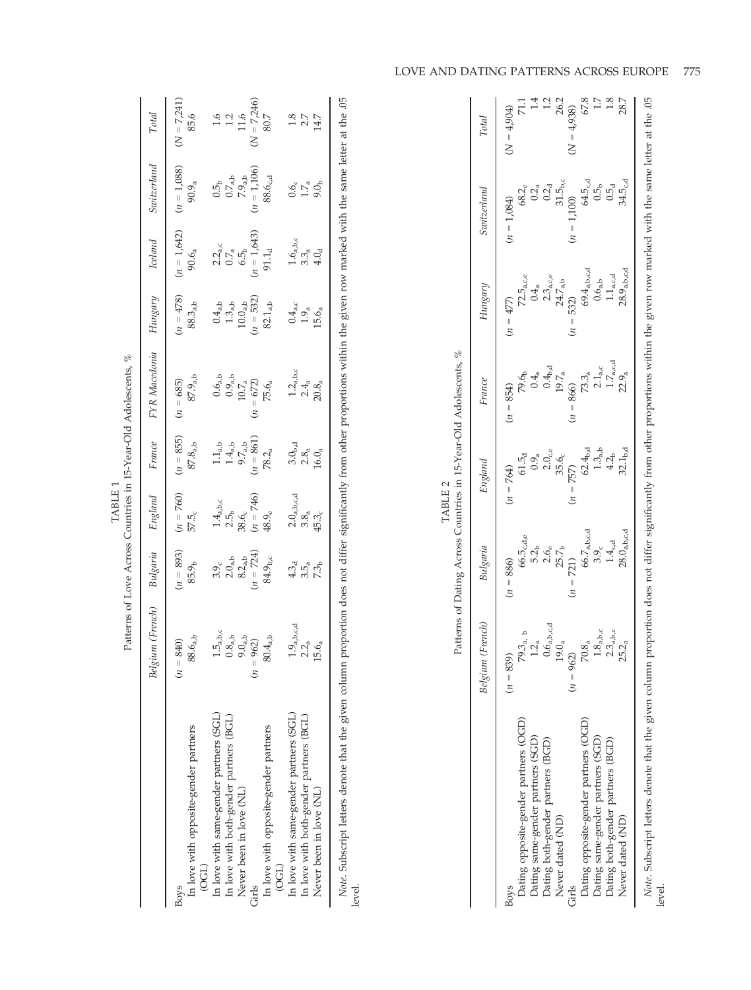|                                                      |                      |                        | TABLE 1                                               |                                                    | Patterns of Love Across Countries in 15-Year-Old Adolescents, %                                                             |                                             |                                                       |                            |               |
|------------------------------------------------------|----------------------|------------------------|-------------------------------------------------------|----------------------------------------------------|-----------------------------------------------------------------------------------------------------------------------------|---------------------------------------------|-------------------------------------------------------|----------------------------|---------------|
|                                                      | Belgium (French)     | Bulgaria               | England                                               | France                                             | FYR Macedonia                                                                                                               | Hungary                                     | <b>Iceland</b>                                        | Switzerland                | Total         |
| <b>Boys</b>                                          | 840)<br>$=$ $u$      | $(n = 893)$            | $(n = 760)$                                           | $(n = 855)$                                        | $(n = 685)$                                                                                                                 | $(n = 478)$                                 | $(n = 1,642)$                                         | $(n = 1,088)$              | $(N = 7,241)$ |
| In love with opposite-gender partners<br>(0GL)       | $88.6_{\rm a,b}$     | 85.9 <sub>b</sub>      | $57.5_c$                                              | $87.8_{a,b}$                                       | 87.9 <sub>a,b</sub>                                                                                                         | 88.3 <sub>a,b</sub>                         | 90.6 <sub>a</sub>                                     | 90.9 <sub>a</sub>          | 85.6          |
| In love with same-gender partners (SGL)              | 1.5 <sub>a,b,c</sub> | 3.9 <sub>c</sub>       | $1.4_{\rm a,b,c}$                                     |                                                    | 0.6 <sub>a,b</sub>                                                                                                          | $0.4_{\rm a,b}$                             |                                                       | 0.5 <sub>b</sub>           | 0.6           |
| In love with both-gender partners (BGL)              | 0.8 <sub>a,b</sub>   | 2.0 <sub>a,b</sub>     | 2.5 <sub>b</sub>                                      | $1.1a,b$<br>$1.4a,b$                               | 0.9 <sub>a,b</sub>                                                                                                          | $1.3_{\rm ab}$                              | $\begin{array}{c} 2.2_{a,c} \\ 0.7_{a} \end{array}$   | 0.7 <sub>a,b</sub>         | 1.2           |
| Never been in love (NL)                              | 9.0 <sub>a,b</sub>   | 8.2 <sub>a,b</sub>     | 38.6 <sub>c</sub>                                     | 9.7 <sub>a,b</sub>                                 | $10.7_a$                                                                                                                    | $10.0_{\rm a,b}$                            | 6.5 <sub>b</sub>                                      | 7.9 <sub>a,b</sub>         | 11.6          |
| Girls                                                | 962)<br>$(n =$       | $(n = 724)$            | $(n = 746)$                                           | $(n = 861)$                                        | $(n = 672)$                                                                                                                 | $(n = 532)$                                 | $(n = 1,643)$                                         | $(n = 1,106)$              | $(N = 7,246)$ |
| In love with opposite-gender partners<br>(OGL)       | $80.4_{\rm a,b}$     | 84.9 <sub>b,c</sub>    | 48.9 <sub>e</sub>                                     | 78.2 <sub>a</sub>                                  | 75.6 <sub>a</sub>                                                                                                           | $82.1_{\rm a,b}$                            | $91.1_d$                                              | $88.6_{c,d}$               | 80.7          |
| In love with same-gender partners (SGL)              | $1.9_{\rm a,b,c,d}$  |                        |                                                       |                                                    |                                                                                                                             |                                             |                                                       |                            | 1.8           |
| In love with both-gender partners (BGL)              | $2.2_a$              | 4.3<br>4.5<br>4.5, 5.5 | $2.0a,b,c,d$<br>3.8 <sub>a</sub><br>45.3 <sub>c</sub> | $3.0_{\rm b,d}$<br>$2.8_{\rm a}$<br>$16.0_{\rm a}$ | $\frac{1.2_{a,b,c}}{2.4_a}$                                                                                                 | $0.4_{a,c}$<br>1.9 $a$<br>15.6 <sub>a</sub> | $1.6_{a,b,c}$<br>3.3 <sub>a</sub><br>4.0 <sub>d</sub> | $0.56$<br>$1.76$<br>$9.06$ | 2.7           |
| Never been in love (NL)                              | 5.6 <sub>a</sub>     |                        |                                                       |                                                    | $20.8_a$                                                                                                                    |                                             |                                                       |                            | 14.7          |
| Note. Subscript letters denote that the given column |                      |                        |                                                       |                                                    | proportion does not differ significantly from other proportions within the given row marked with the same letter at the .05 |                                             |                                                       |                            |               |

| as<br>As                                                                                         |                    |
|--------------------------------------------------------------------------------------------------|--------------------|
|                                                                                                  |                    |
| j                                                                                                |                    |
| ;                                                                                                |                    |
| J                                                                                                |                    |
|                                                                                                  |                    |
| HHSC -                                                                                           |                    |
|                                                                                                  |                    |
|                                                                                                  |                    |
|                                                                                                  |                    |
|                                                                                                  |                    |
|                                                                                                  |                    |
|                                                                                                  |                    |
|                                                                                                  |                    |
|                                                                                                  |                    |
|                                                                                                  |                    |
|                                                                                                  |                    |
|                                                                                                  |                    |
|                                                                                                  |                    |
|                                                                                                  |                    |
| t differ gamificantly trop other proportions within the given row marked with the same letter at |                    |
|                                                                                                  |                    |
|                                                                                                  |                    |
| $\frac{1}{2}$                                                                                    |                    |
|                                                                                                  |                    |
|                                                                                                  |                    |
|                                                                                                  |                    |
|                                                                                                  |                    |
|                                                                                                  |                    |
|                                                                                                  |                    |
|                                                                                                  |                    |
| j                                                                                                |                    |
|                                                                                                  |                    |
|                                                                                                  |                    |
| rion door not                                                                                    |                    |
|                                                                                                  |                    |
|                                                                                                  |                    |
|                                                                                                  |                    |
| Ĭ                                                                                                |                    |
| $\frac{1}{2}$                                                                                    |                    |
| í                                                                                                |                    |
|                                                                                                  |                    |
|                                                                                                  |                    |
|                                                                                                  |                    |
|                                                                                                  |                    |
|                                                                                                  |                    |
|                                                                                                  |                    |
|                                                                                                  |                    |
|                                                                                                  |                    |
|                                                                                                  |                    |
|                                                                                                  |                    |
|                                                                                                  |                    |
|                                                                                                  |                    |
|                                                                                                  |                    |
|                                                                                                  |                    |
|                                                                                                  |                    |
|                                                                                                  |                    |
|                                                                                                  | ₫<br>$\frac{1}{2}$ |
|                                                                                                  |                    |

|                                       |                                  | Patterns of Dating Across Countries in 15-Year-Old Adolescents, % | TABLE <sub>2</sub>                                               |                                                                                                                                |                                |                                                                               |               |
|---------------------------------------|----------------------------------|-------------------------------------------------------------------|------------------------------------------------------------------|--------------------------------------------------------------------------------------------------------------------------------|--------------------------------|-------------------------------------------------------------------------------|---------------|
|                                       |                                  |                                                                   |                                                                  |                                                                                                                                |                                |                                                                               |               |
|                                       | (French)<br>Belgium              | Bulgaria                                                          | England                                                          | France                                                                                                                         | Hungary                        | Switzerland                                                                   | Total         |
| <b>BOVS</b>                           | $(n = 839)$                      | $(n = 886)$                                                       | $(n = 764)$                                                      | $(n = 854)$                                                                                                                    | $(n = 477)$                    | $(n = 1,084)$                                                                 | $(N = 4,904)$ |
| Dating opposite-gender partners (OGD) | $79.3_{\scriptstyle \rm a, \ b}$ | $66.5_{c,d,e}$                                                    |                                                                  |                                                                                                                                |                                |                                                                               | 71.1          |
| Dating same-gender partners (SGD)     | $1.2_a$                          |                                                                   |                                                                  |                                                                                                                                |                                |                                                                               |               |
| Dating both-gender partners (BGD)     | $0.6_{\rm a,b,c,d}$              | $\frac{5.26}{2.5.7_b}$                                            | $\begin{array}{c} 61.5_d\\ 0.9_a\\ 2.0\,c_e\\ 35.6c \end{array}$ | 79.6 <sub>b</sub><br>0.4 <sub>a</sub><br>0.4 <sub>b,d</sub><br>19.7 <sub>a</sub>                                               | $72.5a,c,e0.4a2.3a,c,e24.7a,b$ | $68.2e$<br>0.2 $a$<br>31.5 <sub>p.c</sub>                                     |               |
| Never dated (ND)                      | $19.0_{\rm a}$                   |                                                                   |                                                                  |                                                                                                                                |                                |                                                                               | 26.2          |
| slure                                 | $(n = 962)$                      | 721)<br>$n =$                                                     | 757)                                                             |                                                                                                                                | 532)                           |                                                                               | 4,938)        |
| Dating opposite-gender partners (OGD) | $70.8_{\rm a}$                   | $66.7_{a,b,c,d}$<br>3.9 <sub>c</sub><br>1.4 <sub>c,d</sub>        | $62.4b,d1.3a,b4.2b$                                              |                                                                                                                                | $69.4_{\rm a,b,c,d}$           |                                                                               | $67.8$ 1.7    |
| Dating same-gender partners (SGD)     | $1.8_{\rm a,b,c}$                |                                                                   |                                                                  |                                                                                                                                | $0.6_{\rm a,b}$                |                                                                               |               |
| Dating both-gender partners (BGD)     | $2.3_{\rm a,b,c}$                |                                                                   |                                                                  |                                                                                                                                | $1.1_{\rm a, c, d}$            |                                                                               | 1.8           |
| Never dated (ND)                      | 25.2 <sub>a</sub>                | $28.0_{a,b,c,d}$                                                  | 32.1 <sub>b,d</sub>                                              | ( <i>n</i> = 866)<br>73.3 <sub>a</sub><br>73.3 <sub>a</sub><br>2.1 <sub>a,c</sub><br>1.7 <sub>a,c,d</sub><br>22.9 <sub>a</sub> | 28.9 <sub>a,b,c,d</sub>        | $(n = 1,100)$<br>$64.5cd$<br>$0.5b$<br>$0.5d$<br>$0.5d$<br>34.5 <sub>cd</sub> | 28.7          |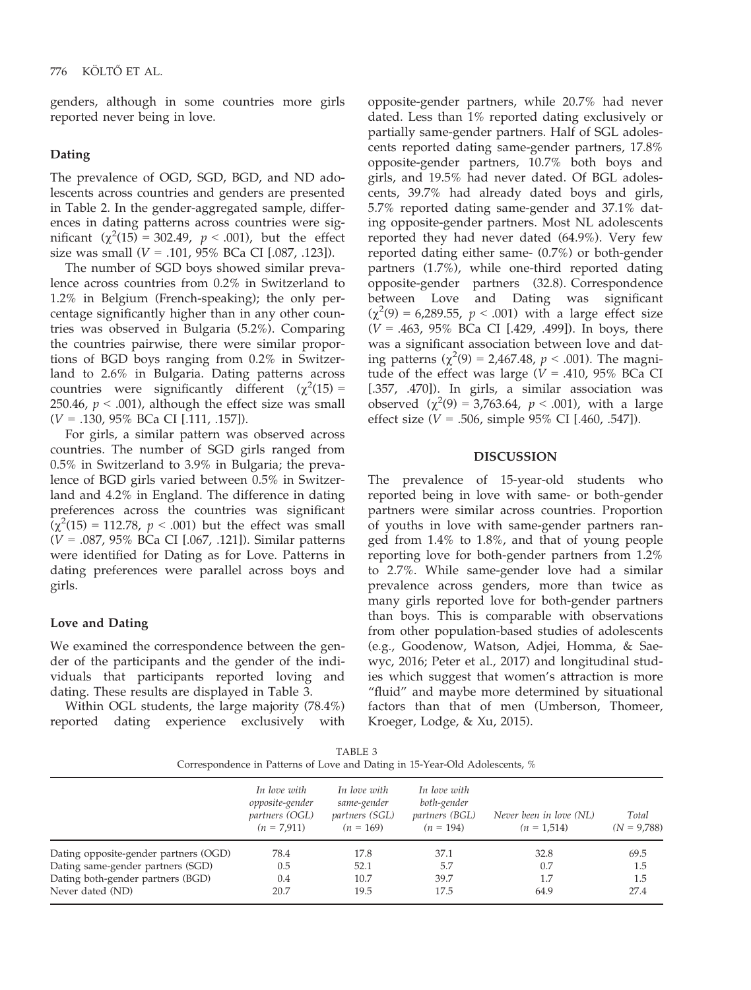genders, although in some countries more girls reported never being in love.

## Dating

The prevalence of OGD, SGD, BGD, and ND adolescents across countries and genders are presented in Table 2. In the gender-aggregated sample, differences in dating patterns across countries were significant  $(\chi^2(15) = 302.49, p < .001)$ , but the effect size was small  $(V = .101, 95\%$  BCa CI [.087, .123]).

The number of SGD boys showed similar prevalence across countries from 0.2% in Switzerland to 1.2% in Belgium (French-speaking); the only percentage significantly higher than in any other countries was observed in Bulgaria (5.2%). Comparing the countries pairwise, there were similar proportions of BGD boys ranging from 0.2% in Switzerland to 2.6% in Bulgaria. Dating patterns across countries were significantly different  $(\chi^2(15) =$ 250.46,  $p < .001$ ), although the effect size was small  $(V = .130, 95\%$  BCa CI [.111, .157]).

For girls, a similar pattern was observed across countries. The number of SGD girls ranged from 0.5% in Switzerland to 3.9% in Bulgaria; the prevalence of BGD girls varied between 0.5% in Switzerland and 4.2% in England. The difference in dating preferences across the countries was significant  $\tilde{y}$ ( $\chi^2$ (15) = 112.78,  $p < .001$ ) but the effect was small  $(V = .087, 95\%$  BCa CI [.067, .121]). Similar patterns were identified for Dating as for Love. Patterns in dating preferences were parallel across boys and girls.

## Love and Dating

We examined the correspondence between the gender of the participants and the gender of the individuals that participants reported loving and dating. These results are displayed in Table 3.

Within OGL students, the large majority (78.4%) reported dating experience exclusively with opposite-gender partners, while 20.7% had never dated. Less than 1% reported dating exclusively or partially same-gender partners. Half of SGL adolescents reported dating same-gender partners, 17.8% opposite-gender partners, 10.7% both boys and girls, and 19.5% had never dated. Of BGL adolescents, 39.7% had already dated boys and girls, 5.7% reported dating same-gender and 37.1% dating opposite-gender partners. Most NL adolescents reported they had never dated (64.9%). Very few reported dating either same- (0.7%) or both-gender partners (1.7%), while one-third reported dating opposite-gender partners (32.8). Correspondence between Love and Dating was significant  $(\chi^2(9) = 6,289.55, p < .001)$  with a large effect size  $(V = .463, 95\%$  BCa CI [.429, .499]). In boys, there was a significant association between love and dating patterns  $(\chi^2(9) = 2,467.48, p < .001)$ . The magnitude of the effect was large ( $V = .410$ , 95% BCa CI [.357, .470]). In girls, a similar association was observed  $(\chi^2(9) = 3,763.64, p < .001)$ , with a large effect size ( $V = .506$ , simple 95% CI [.460, .547]).

#### DISCUSSION

The prevalence of 15-year-old students who reported being in love with same- or both-gender partners were similar across countries. Proportion of youths in love with same-gender partners ranged from 1.4% to 1.8%, and that of young people reporting love for both-gender partners from 1.2% to 2.7%. While same-gender love had a similar prevalence across genders, more than twice as many girls reported love for both-gender partners than boys. This is comparable with observations from other population-based studies of adolescents (e.g., Goodenow, Watson, Adjei, Homma, & Saewyc, 2016; Peter et al., 2017) and longitudinal studies which suggest that women's attraction is more "fluid" and maybe more determined by situational factors than that of men (Umberson, Thomeer, Kroeger, Lodge, & Xu, 2015).

|                                                                             | TABLE 3 |  |  |
|-----------------------------------------------------------------------------|---------|--|--|
| Correspondence in Patterns of Love and Dating in 15-Year-Old Adolescents, % |         |  |  |

|                                       | In love with<br>opposite-gender<br><i>partners</i> (OGL)<br>$(n = 7.911)$ | In love with<br>same-gender<br><i>partners</i> (SGL)<br>$(n = 169)$ | In love with<br>both-gender<br><i>partners</i> ( <i>BGL</i> )<br>$(n = 194)$ | Never been in love (NL)<br>$(n = 1.514)$ | Total<br>$(N = 9.788)$ |
|---------------------------------------|---------------------------------------------------------------------------|---------------------------------------------------------------------|------------------------------------------------------------------------------|------------------------------------------|------------------------|
| Dating opposite-gender partners (OGD) | 78.4                                                                      | 17.8                                                                | 37.1                                                                         | 32.8                                     | 69.5                   |
| Dating same-gender partners (SGD)     | 0.5                                                                       | 52.1                                                                | 5.7                                                                          | 0.7                                      | 1.5                    |
| Dating both-gender partners (BGD)     | 0.4                                                                       | 10.7                                                                | 39.7                                                                         | 1.7                                      | 1.5                    |
| Never dated (ND)                      | 20.7                                                                      | 19.5                                                                | 17.5                                                                         | 64.9                                     | 27.4                   |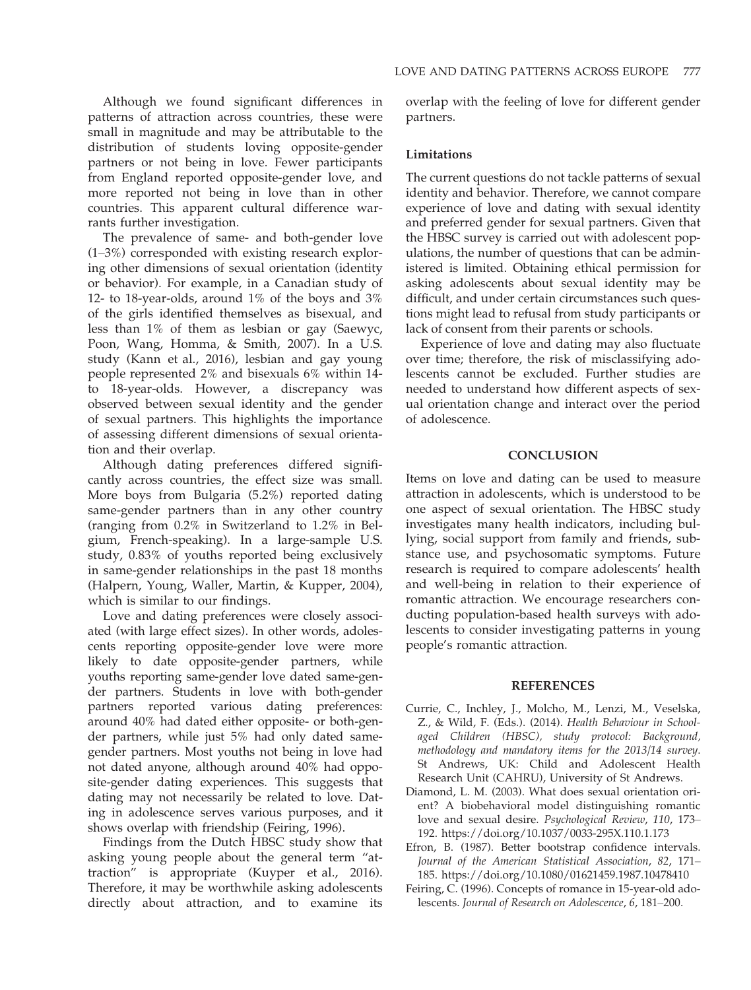small in magnitude and may be attributable to the distribution of students loving opposite-gender partners or not being in love. Fewer participants from England reported opposite-gender love, and more reported not being in love than in other countries. This apparent cultural difference warrants further investigation.

The prevalence of same- and both-gender love (1–3%) corresponded with existing research exploring other dimensions of sexual orientation (identity or behavior). For example, in a Canadian study of 12- to 18-year-olds, around 1% of the boys and 3% of the girls identified themselves as bisexual, and less than 1% of them as lesbian or gay (Saewyc, Poon, Wang, Homma, & Smith, 2007). In a U.S. study (Kann et al., 2016), lesbian and gay young people represented 2% and bisexuals 6% within 14 to 18-year-olds. However, a discrepancy was observed between sexual identity and the gender of sexual partners. This highlights the importance of assessing different dimensions of sexual orientation and their overlap.

Although dating preferences differed significantly across countries, the effect size was small. More boys from Bulgaria (5.2%) reported dating same-gender partners than in any other country (ranging from 0.2% in Switzerland to 1.2% in Belgium, French-speaking). In a large-sample U.S. study, 0.83% of youths reported being exclusively in same-gender relationships in the past 18 months (Halpern, Young, Waller, Martin, & Kupper, 2004), which is similar to our findings.

Love and dating preferences were closely associated (with large effect sizes). In other words, adolescents reporting opposite-gender love were more likely to date opposite-gender partners, while youths reporting same-gender love dated same-gender partners. Students in love with both-gender partners reported various dating preferences: around 40% had dated either opposite- or both-gender partners, while just 5% had only dated samegender partners. Most youths not being in love had not dated anyone, although around 40% had opposite-gender dating experiences. This suggests that dating may not necessarily be related to love. Dating in adolescence serves various purposes, and it shows overlap with friendship (Feiring, 1996).

Findings from the Dutch HBSC study show that asking young people about the general term "attraction" is appropriate (Kuyper et al., 2016). Therefore, it may be worthwhile asking adolescents directly about attraction, and to examine its

overlap with the feeling of love for different gender

## Limitations

The current questions do not tackle patterns of sexual identity and behavior. Therefore, we cannot compare experience of love and dating with sexual identity and preferred gender for sexual partners. Given that the HBSC survey is carried out with adolescent populations, the number of questions that can be administered is limited. Obtaining ethical permission for asking adolescents about sexual identity may be difficult, and under certain circumstances such questions might lead to refusal from study participants or lack of consent from their parents or schools.

Experience of love and dating may also fluctuate over time; therefore, the risk of misclassifying adolescents cannot be excluded. Further studies are needed to understand how different aspects of sexual orientation change and interact over the period of adolescence.

#### **CONCLUSION**

Items on love and dating can be used to measure attraction in adolescents, which is understood to be one aspect of sexual orientation. The HBSC study investigates many health indicators, including bullying, social support from family and friends, substance use, and psychosomatic symptoms. Future research is required to compare adolescents' health and well-being in relation to their experience of romantic attraction. We encourage researchers conducting population-based health surveys with adolescents to consider investigating patterns in young people's romantic attraction.

### REFERENCES

- Currie, C., Inchley, J., Molcho, M., Lenzi, M., Veselska, Z., & Wild, F. (Eds.). (2014). Health Behaviour in Schoolaged Children (HBSC), study protocol: Background, methodology and mandatory items for the 2013/14 survey. St Andrews, UK: Child and Adolescent Health Research Unit (CAHRU), University of St Andrews.
- Diamond, L. M. (2003). What does sexual orientation orient? A biobehavioral model distinguishing romantic love and sexual desire. Psychological Review, 110, 173– 192.<https://doi.org/10.1037/0033-295X.110.1.173>
- Efron, B. (1987). Better bootstrap confidence intervals. Journal of the American Statistical Association, 82, 171– 185.<https://doi.org/10.1080/01621459.1987.10478410>
- Feiring, C. (1996). Concepts of romance in 15-year-old adolescents. Journal of Research on Adolescence, 6, 181–200.